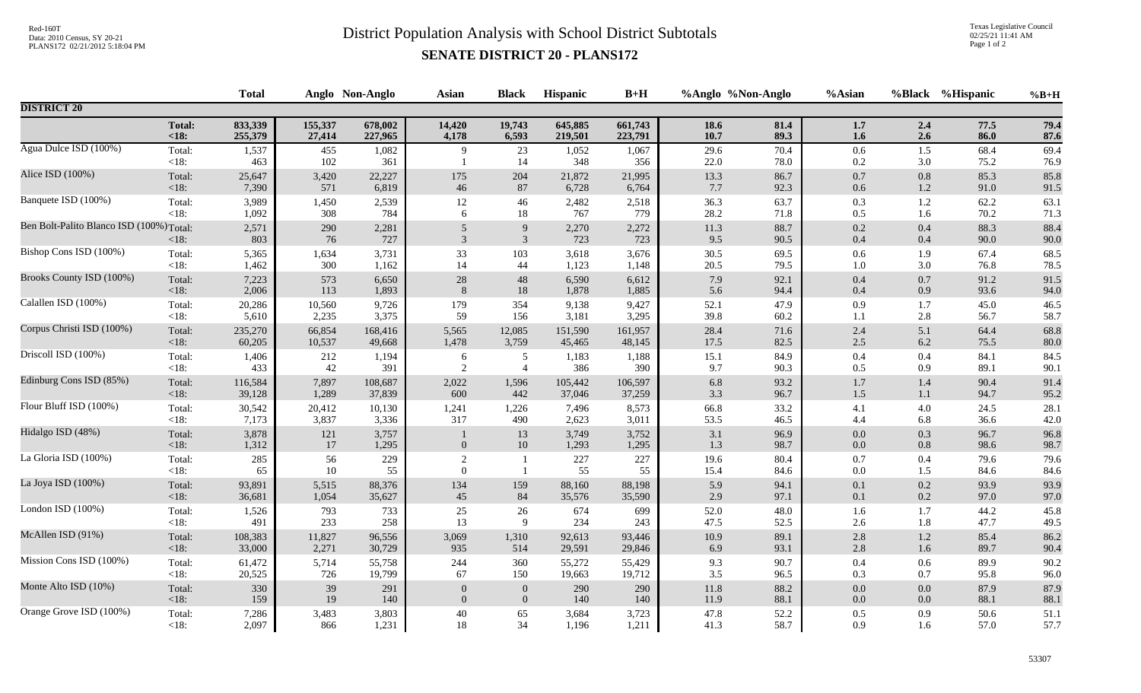## Red-160T<br>District Population Analysis with School District Subtotals

Texas Legislative Council 02/25/21 11:41 AM Page 1 of 2

## **SENATE DISTRICT 20 - PLANS172**

|                                          | <b>Total</b>      |                |            | Anglo Non-Anglo | <b>Asian</b>    | <b>Black</b>                       | Hispanic       | $B+H$          | %Anglo %Non-Anglo |              | %Asian             |                | %Black %Hispanic | $%B+H$       |
|------------------------------------------|-------------------|----------------|------------|-----------------|-----------------|------------------------------------|----------------|----------------|-------------------|--------------|--------------------|----------------|------------------|--------------|
| <b>DISTRICT 20</b>                       |                   |                |            |                 |                 |                                    |                |                |                   |              |                    |                |                  |              |
|                                          | <b>Total:</b>     | 833,339        | 155,337    | 678,002         | 14,420          | 19,743                             | 645,885        | 661,743        | 18.6              | 81.4         | $1.7\,$            | 2.4            | 77.5             | 79.4         |
|                                          | < 18:             | 255,379        | 27,414     | 227,965         | 4,178           | 6,593                              | 219,501        | 223,791        | 10.7              | 89.3         | 1.6                | 2.6            | 86.0             | 87.6         |
| Agua Dulce ISD (100%)                    | Total:<br>$<18$ : | 1,537<br>463   | 455<br>102 | 1,082<br>361    | 9               | 23<br>14                           | 1,052<br>348   | 1,067<br>356   | 29.6<br>22.0      | 70.4<br>78.0 | $0.6\,$<br>0.2     | 1.5<br>3.0     | 68.4<br>75.2     | 69.4<br>76.9 |
| Alice ISD (100%)                         | Total:            | 25,647         | 3,420      | 22,227          | 175             | 204                                | 21,872         | 21,995         | 13.3              | 86.7         | $0.7\,$            | $0.8\,$        | 85.3             | 85.8         |
|                                          | $<18$ :           | 7,390          | 571        | 6,819           | 46              | 87                                 | 6,728          | 6,764          | 7.7               | 92.3         | $0.6\,$            | 1.2            | 91.0             | 91.5         |
| Banquete ISD (100%)                      | Total:            | 3,989          | 1,450      | 2,539           | 12              | 46                                 | 2,482          | 2,518          | 36.3              | 63.7         | 0.3                | 1.2            | 62.2             | 63.1         |
|                                          | $<18$ :           | 1,092          | 308        | 784             | 6               | 18                                 | 767            | 779            | 28.2              | 71.8         | 0.5                | 1.6            | 70.2             | 71.3         |
| Ben Bolt-Palito Blanco ISD (100%) Total: | < 18:             | 2,571<br>803   | 290<br>76  | 2,281<br>727    | $\sqrt{5}$<br>3 | $\boldsymbol{9}$<br>$\mathfrak{Z}$ | 2,270<br>723   | 2,272<br>723   | $11.3\,$<br>9.5   | 88.7<br>90.5 | $0.2\,$<br>0.4     | 0.4<br>0.4     | 88.3<br>90.0     | 88.4<br>90.0 |
| Bishop Cons ISD (100%)                   | Total:            | 5,365          | 1,634      | 3,731           | 33              | 103                                | 3,618          | 3,676          | 30.5              | 69.5         | $0.6\,$            | 1.9            | 67.4             | 68.5         |
|                                          | <18:              | 1,462          | 300        | 1,162           | 14              | 44                                 | 1,123          | 1,148          | 20.5              | 79.5         | 1.0                | 3.0            | 76.8             | 78.5         |
| Brooks County ISD (100%)                 | Total:            | 7,223          | 573        | 6,650           | 28              | 48                                 | 6,590          | 6,612          | 7.9               | 92.1         | 0.4                | $0.7\,$        | 91.2             | 91.5         |
|                                          | < 18:             | 2,006          | 113        | 1,893           | 8               | 18                                 | 1,878          | 1,885          | 5.6               | 94.4         | 0.4                | 0.9            | 93.6             | 94.0         |
| Calallen ISD (100%)                      | Total:            | 20,286         | 10,560     | 9,726           | 179             | 354                                | 9,138          | 9,427          | 52.1              | 47.9         | 0.9                | 1.7            | 45.0             | 46.5         |
|                                          | $<18$ :           | 5,610          | 2,235      | 3,375           | 59              | 156                                | 3,181          | 3,295          | 39.8              | 60.2         | 1.1                | 2.8            | 56.7             | 58.7         |
| Corpus Christi ISD (100%)                | Total:            | 235,270        | 66,854     | 168,416         | 5,565           | 12,085                             | 151,590        | 161,957        | 28.4              | 71.6         | $2.4\,$            | 5.1            | 64.4             | 68.8         |
|                                          | $<18$ :           | 60,205         | 10,537     | 49,668          | 1,478           | 3,759                              | 45,465         | 48,145         | 17.5              | 82.5         | $2.5\,$            | 6.2            | 75.5             | 80.0         |
| Driscoll ISD (100%)                      | Total:            | 1,406          | 212        | 1,194           | 6               | 5                                  | 1,183          | 1,188          | 15.1              | 84.9         | $0.4\,$            | 0.4            | 84.1             | 84.5         |
|                                          | <18:              | 433            | 42         | 391             | $\overline{2}$  | $\overline{4}$                     | 386            | 390            | 9.7               | 90.3         | 0.5                | 0.9            | 89.1             | 90.1         |
| Edinburg Cons ISD (85%)                  | Total:            | 116,584        | 7,897      | 108,687         | 2,022           | 1,596                              | 105,442        | 106,597        | 6.8               | 93.2         | 1.7                | 1.4            | 90.4             | 91.4         |
|                                          | $<18$ :           | 39,128         | 1,289      | 37,839          | 600             | 442                                | 37,046         | 37,259         | 3.3               | 96.7         | $1.5$              | 1.1            | 94.7             | 95.2         |
| Flour Bluff ISD (100%)                   | Total:            | 30,542         | 20,412     | 10,130          | 1,241           | 1,226                              | 7,496          | 8,573          | 66.8              | 33.2         | 4.1                | 4.0            | 24.5             | 28.1         |
|                                          | $<18$ :           | 7,173          | 3,837      | 3,336           | 317             | 490                                | 2,623          | 3,011          | 53.5              | 46.5         | 4.4                | 6.8            | 36.6             | 42.0         |
| Hidalgo ISD (48%)                        | Total:<br>$<18$ : | 3,878<br>1,312 | 121<br>17  | 3,757<br>1,295  | $\mathbf{0}$    | 13<br>10                           | 3,749<br>1,293 | 3,752<br>1,295 | 3.1<br>1.3        | 96.9<br>98.7 | $0.0\,$<br>$0.0\,$ | 0.3<br>$0.8\,$ | 96.7<br>98.6     | 96.8<br>98.7 |
| La Gloria ISD (100%)                     | Total:            | 285            | 56         | 229             | $\sqrt{2}$      | $\mathbf{1}$                       | 227            | 227            | 19.6              | 80.4         | $0.7\,$            | 0.4            | 79.6             | 79.6         |
|                                          | $<18$ :           | 65             | 10         | 55              | $\Omega$        | $\overline{1}$                     | 55             | 55             | 15.4              | 84.6         | 0.0                | 1.5            | 84.6             | 84.6         |
| La Joya ISD (100%)                       | Total:            | 93,891         | 5,515      | 88,376          | 134             | 159                                | 88,160         | 88,198         | 5.9               | 94.1         | $0.1\,$            | 0.2            | 93.9             | 93.9         |
|                                          | $<18$ :           | 36,681         | 1,054      | 35,627          | 45              | 84                                 | 35,576         | 35,590         | 2.9               | 97.1         | 0.1                | 0.2            | 97.0             | 97.0         |
| London ISD $(100\%)$                     | Total:            | 1,526          | 793        | 733             | 25              | 26                                 | 674            | 699            | 52.0              | 48.0         | 1.6                | 1.7            | 44.2             | 45.8         |
|                                          | $<18$ :           | 491            | 233        | 258             | 13              | 9                                  | 234            | 243            | 47.5              | 52.5         | 2.6                | 1.8            | 47.7             | 49.5         |
| McAllen ISD (91%)                        | Total:            | 108,383        | 11,827     | 96,556          | 3,069           | 1,310                              | 92,613         | 93,446         | $10.9\,$          | 89.1         | $2.8\,$            | $1.2\,$        | 85.4             | 86.2         |
|                                          | <18:              | 33,000         | 2,271      | 30,729          | 935             | 514                                | 29,591         | 29,846         | 6.9               | 93.1         | $2.8\,$            | 1.6            | 89.7             | 90.4         |
| Mission Cons ISD (100%)                  | Total:            | 61,472         | 5,714      | 55,758          | 244             | 360                                | 55,272         | 55,429         | 9.3               | 90.7         | 0.4                | 0.6            | 89.9             | 90.2         |
|                                          | $<18$ :           | 20,525         | 726        | 19,799          | 67              | 150                                | 19,663         | 19,712         | 3.5               | 96.5         | 0.3                | 0.7            | 95.8             | 96.0         |
| Monte Alto ISD (10%)                     | Total:            | 330            | 39         | 291             | $\overline{0}$  | $\mathbf{0}$                       | 290            | 290            | 11.8              | 88.2         | 0.0                | 0.0            | 87.9             | 87.9         |
|                                          | $<18$ :           | 159            | 19         | 140             | $\theta$        | $\boldsymbol{0}$                   | 140            | 140            | 11.9              | 88.1         | $0.0\,$            | 0.0            | 88.1             | 88.1         |
| Orange Grove ISD (100%)                  | Total:            | 7,286          | 3,483      | 3,803           | 40              | 65                                 | 3,684          | 3,723          | 47.8              | 52.2         | 0.5                | 0.9            | 50.6             | 51.1         |
|                                          | <18:              | 2,097          | 866        | 1,231           | 18              | 34                                 | 1,196          | 1,211          | 41.3              | 58.7         | 0.9                | 1.6            | 57.0             | 57.7         |